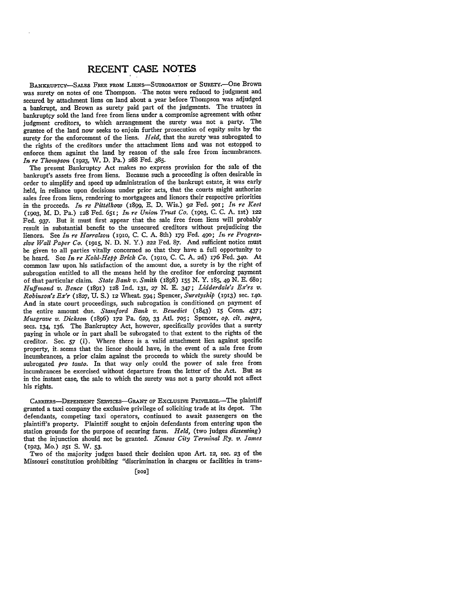## **RECENT CASE NOTES**

BANKRUPTCY-SALES FREE FROM LIENS-SUBROGATION OF SURETY.-- One Brown was surety on notes of one Thompson. The notes were reduced to judgment and secured by attachment liens on land about a year before Thompson was adjudged a bankrupt, and Brown as surety paid part of the judgments. The trustees in bankruptcy sold the land free from liens under a compromise agreement with other judgment creditors, to which arrangement the surety was not a party. The grantee of the land now seeks to enjoin further prosecution of equity suits by the surety for the enforcement of the liens. *Held,* that the surety was subrogated to the rights of the creditors under the attachment liens and was not estopped to enforce them against the land by reason of the sale free from incumbrances. *In re Thompson* (1923, W. **D.** Pa.) 288 Fed. 385.

The present Bankruptcy Act makes no express provision for the sale of the bankrupt's assets free from liens. Because such a proceeding is often desirable in order to simplify and speed up administration of the bankrupt estate, it was early held, in reliance upon decisions under prior acts, that the courts might authorize sales free from liens, rendering to mortgagees and lienors their respective priorities in the proceeds. *it re Pittelkow* (1899, E. **D.** Wis.) 92 Fed. 9O1; *In re Keet* (19o3, M. **D.** Pa.) 128 Fed. 651; *In re Union Trust* Ca. **(1903, C. C. A.** Ist) 122 Fed. *937.* But it must first appear that the sale free from liens will probably result in substantial benefit to the unsecured creditors without prejudicing the lienors. See *In re Harralson.* (igio, C. **C. A.** 8th) 179 Fed. 49o; *In re Progres*sive Wall Paper Co. (1915, N. D. N. Y.) 222 Fed. 87. And sufficient notice must be given to all parties vitally concerned so that they have a full opportunity to be heard. See *In re Kohl-Hepp Brick Co.* (191o, C. C. A. 2d) 176 Fed. 340. At common law upon. his satisfaction of the amount due, a surety is by the right of subrogation entitled to all the means held **by** the creditor for enforcing payment of that particular claim. *State Bank v. Snith* (1898) 155 *N.* Y. 185, 49 *N.* **E.** 68o; *Huffinond v. Bence* (1891) 128 Ind. 131, **27** N. **E.** 347; *Lidderdale's Ex'rs v. Robinson's Ex'r* (1827, **U. S.)** 12 Wheat. 594; Spencer, *Suretyship* (1913) sec. **140.** And in state court proceedings, such subrogation is conditioned on payment of the entire amount due. *Stamford Bank v. Benedict* (1843) 15 Conn. 437; *Musgrave v. Dickson* (1896) 172 Pa. 629, 33 Atl. **705;** Spencer, *op. cit. supra,* secs. 134, 136. The Bankruptcy Act, however, specifically provides that a surety paying in whole or in part shall be subrogated to that extent to the rights of the creditor. Sec. 57 (i). Where there is a valid attachment lien against specific property, it. seems that the lienor should have, in the event of a sale free from incumbrances, a prior claim against the proceeds to which the surety should be subrogated *pro tanto.* In that way only could the power of sale free from incumbrances be exercised without departure from the letter of the Act. But as in the instant case, the sale to which the surety was not a party should not affect his rights.

CARRIERS-DEPENDENT SERVICES-GRANT OF EXCLUSIVE PRIVILEGE.-The plaintiff granted a taxi company the exclusive privilege of soliciting trade at its depot. The defendants, competing taxi operators, continued to await passengers on the plaintiff's property. Plaintiff sought to enjoin defendants from entering upon the station grounds for the purpose of securing fares. *Held,* (two judges *dissenting)* that the injunction should not be granted. *Kansao City Terminal Ry. v. James* (1923, Mo.) **251 S.** W. **53.**

Two of the majority judges based their decision upon Art. **12,** sec. **23** of the Missouri constitution prohibiting "discrimination in charges or facilities in trans-

**[202]**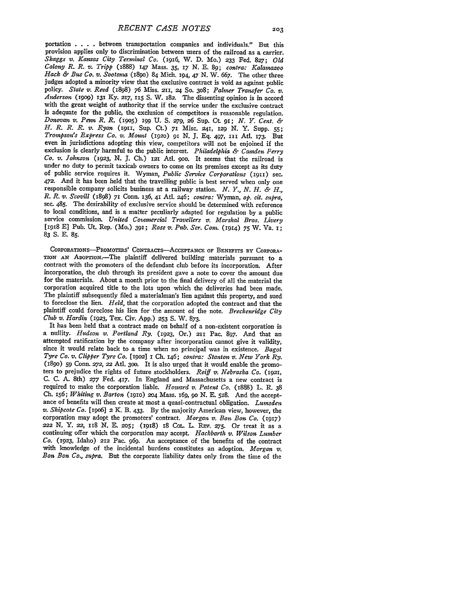portation . **. .** . between transportation companies and individuals." But this provision applies only to discrimination between users of the railroad as a carrier. *Skaggs v. Kansas City Terminal Co.* (1916, W. **D.** Mo.) **233** Fed. **827;** *Old Colony R. R. v. Tripp* (1888) 147 Mass. **35,** *17* N. **E. 89;** *contra: Kalamazoo* Hack & Bus *Co. v. Sootsma* (1890) 84 Mich. 194, 47 N. W. 667. The other three judges adopted a minority view that the exclusive contract is void as against public policy. *State v. Reed* (1898) **76** Miss. 211, 24 **So. 308;** *Palmer Transfer Co. v. Anderson* **(199o) 131 Ky.** *217,* **II5 S.** W. 182. The dissenting opinion is in accord with the great weight of authority that if the service under the exclusive contract is adequate for the public, the exclusion of competitors is reasonable regulation. *Donovan. v. Penn R. R.* **(195o)** 199 **U. S. 279,** *26* Sup. Ct 91; *N. Y. Cent. & H. R. R. R. v. Ryan* (1911, Sup. **Ct.) 71** Misc. 241, **129 N.** Y. Supp. **55;** *Trompson's Express Co. v. Mount* **(192o)** 91 *N.* **J.** Eq. 497, *I1* At. **173.** But even in jurisdictions adopting this view, competitors will not be enjoined if the exclusion is clearly harmful to the public interest. *Philadelphia & Camden Ferry Co. v. Johnson* **(1923,** *N.* **J.** Ch.) 121 AtI. goo. It seems that the railroad is under no duty to permit taxicab owners to come on its premises except as its duty of public service requires it. Wyman, *Public Service Corporations* (1911) sec. *472.* And it has been held that the travelling public is best served when only one responsible company solicits business at a railway station. *N. Y., N. H. & H., R. R. v. Scovill* (1898) **71** Conn. 136, **41** AtI. 246; *contra:* Wyman, *op. cit. supra,* sec. 485. The desirability of exclusive service should be determined with reference to local conditions, and is a matter peculiarly adapted for regulation **by** a public service commission. *United Cominercial Travellers v. Marshal Bros. Livery* [1918 E] Pub. Ut. Rep. (Mo.) 391; *Rose v. Pub. Ser. Com.* (1914) **75** W. Va. i; **83 S. E. 85.**

CoapoRATIoNs-PRomoTExs' CONTRACrs-AcEPTANCE **OF** BENEFITs **BY** CORPORA-**TION AN** ADopTno.-The plaintiff delivered building materials pursuant to a contract with the promoters of the defendant club before its incorporation. After incorporation, the club through its president gave a note to cover the amount due for the materials. About a month prior to the final delivery of all the material the corporation acquired title to the lots upon which the deliveries had been made. The plaintiff subsequently filed a materialman's lien against this property, and sued to foreclose the lien. *Held,* that the corporation adopted the contract and that the plaintiff could foreclose his lien for the amount of the note. *Breckenridge City Club v. Hardin* (1923, Tex. Civ. **App.) 253 S.** W. 873.

It has been held that a contract made on behalf of a non-existent corporation is a nullity. *Hudson v. Portland Ry.* (1923, Or.) **211** Pac. 897. And that an attempted ratification by the company after incorporation cannot give it validity, since it would relate back to a time when no principal was in existence. *Bagot Tyre Co. v. Clipper Tyre Co.* **[19o2]** i **Ch.** 146; *contra: Stanton v. New York Ry.* **(189o) 59** Conn. *272,* 22 At. **300.** It is also urged that it would enable the promoters to prejudice the rights of future stockholders. *Reiff v. Nebraska Co.* (1921, C. **C.** A. 8th) **277** Fed. **417.** In England and Massachusetts a new contract is required to make the corporation liable. *Howard v. Patent Co.* (1888) L. R. 38 Ch. 156; *Whiting v. Barton* (910) **204** Mass. 16q, **90** N. **E.** 528. And the acceptance of benefits will then create at most a quasi-contractual obligation. *Lumsden v. Shipcote Co.* [19o6] 2 K. B. 433. **By** the majority American view, however, the corporation may adopt the promoters' contract. *Morgan v. Bon Bon Co.* (1917) 222 **N.** Y. *22,* 118 **N. E. 205;** (x918) 18 COL. L. Rxv. **275.** Or treat it as a continuing offer which the corporation may accept. *Hackbarth v. Wilson Lumber Co.* (1923, Idaho) **212** Pac. 969. An acceptance of the benefits of the contract with knowledge of the incidental burdens constitutes an adoption. *Morgan v.* Bon Bon *Co., supra.* But the corporate liability dates only from the time of the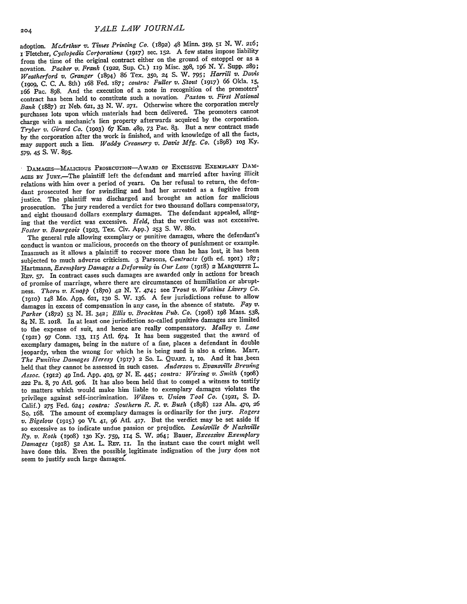adoption. *McArthur v. Times Printing Co.* (1892) 48 Minn. 319, 51 N. W. 216; **<sup>i</sup>**Fletcher, *Cyclopedia Corporations* (1917) sec. **152.** A few states impose liability from the time of the original contract either on the ground of estoppel or as a novation. *Packer v. Frank* **(1922,** Sup. Ct) 119 Misc. 398, i96 *N.* Y. Supp. 289; *Weatherford v. Granger* (1894) 86 Tex. **350, 24** S. W. 795; *Harrill v. Davis* (19og, C. C. A. 8th) 168 Fed. 187; *contra: Fuller v. Stout* (1917) 66 Okla. *15,* 166 Pac. **898.** And the execution of a note in recognition of the promoters' contract has been held to constitute such a novation. *Paxton v. First National Bank* (1887) 21 Neb. 621, **33** N. W. 271. Otherwise where the corporation merely purchases lots upon which materials had been delivered. The promoters cannot charge with a mechanic's lien property afterwards acquired by the corporation. *Tryber v. Girard Co.* (19o3) 67 Kan. 489, **73** Pac. 83. But a new contract made by the corporation after the work is finished, and with knowledge of all the facts, may support such a lien. *Waddy Creamery v. Davis Mfg. Co.* (1898) **1O3** Ky. **579,** 45 S. W. **895.**

DAMAGES-MALICIOUS PROSECUTION-AWARD oF ExCESsIvE EXEMPLARY DAM-AGES **BY** JURY.-The plaintiff left the defendant and married after having illicit relations with him over a period of years. On her refusal to return, the defendant prosecuted her for swindling and had her arrested as a fugitive from justice. The plaintiff was discharged and brought an action for malicious prosecution. The jury rendered a verdict for two thousand dollars compensatory, and eight thousand dollars exemplary damages. The defendant appealed, alleging that the verdict was excessive. *Held,* that the verdict was not excessive. *Foster v. Bourgeois* (1923, Tex. Civ. **App.) 253 S.** W. **88o.**

The general rule allowing exemplary or punitive damages, where the defendant's conduct is wanton or malicious, proceeds on the theory of punishment or example. Inasmuch as it allows a plaintiff to recover more than he has lost, it has been subjected to much adverse criticism. **.3** Parsons, *Contracts* (9th ed. **19Oi)** 187; Hartmann, *Exemplary Damages a Deformity in Our Law* (1918) 2 MARQUETTE L. REV. 57. In contract cases such damages are awarded only in actions for breach of promise of marriage, where there are circumstances of humiliation *or* abruptness. *Thorn v. Knapp* (i87o) 42 N. Y. 474; see *Trout v. Watkins Livery Co.* (1IO) 148 Mo. App. **621, 130 S.** W. 136. **A** few jurisdictions refuse to allow damages in excess of compensation in any case, in the absence of statute. *Fay v. Parker* (1872) 53 *N.* H. 342; *Ellis v. Brockton Pub. Co.* (igo8) ig8 Mass. 538, 84 N. E. 1018. In at least one jurisdiction so-called punitive damages are limited to the expense of suit, and hence are really compensatory. *Malley v. Lane* (192) 97 Conn. 133, 115 Atl. 674. It has been suggested that the award of exemplary damages, being in the nature of a fine, places a defendant in double jeopardy, when the wrong for which he is being sued is also a crime. Marr, *The Punitive Damages Heresy* (1917) 2 So. L. QUART. i, io. And it has .been held that they cannot be assessed in such cases. *Anderson v. Evansville Brewing Assoc.* (1912) **49** Ind. **App.** 4o3, 97 **N. E. 445;** *contra: Wirsing v. Smith (igos)* **<sup>=</sup>**Pa. 8, 7o Atl. 9o6. It has also been held that to compel a witness to testify to matters which would make him liable to exemplary damages violates the privilege against self-incrimination. *Wilson v. Union, Tool Co.* (1921, **S. D.** Calif.) **275** Fed. *624; contra: Southern R. R. v. Bush* (1898) *122* Ala. 470, 26 So. 168. The amount of exemplary damages is ordinarily for the jury. *Rogers v. Bigelow* (1915) **<sup>90</sup>**Vt 41, **96 Atl. 417.** But the verdict may be **set** aside if so excessive as to indicate undue passion or prejudice. *Louisville & Nashville Ry. v. Roth* (19o8) **13o Ky.** 759, **114 S.** W. 264; Bauer, *Excessive Exemplary Damages* (1918) 52 Am. L. REV. II. In the instant case the court might well have done this. Even the possible legitimate indignation of the jury does not seem to justify such large damages.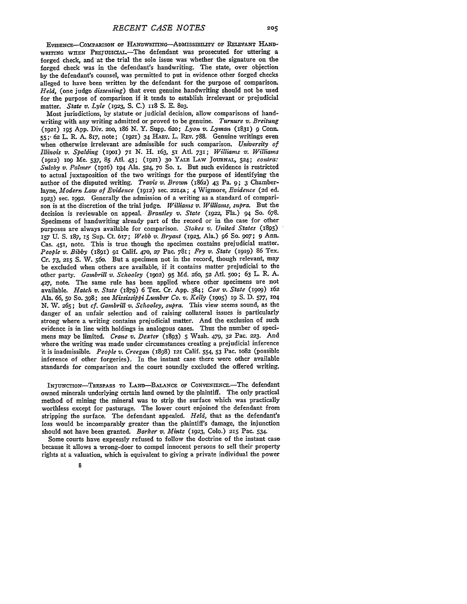**EVIDENCE-COMPARISON OF HANDWITING-ADMISSIBILITY OF RELEVANT HAND-**WRITING WHEN PREJUDICIAL.-The defendant was prosecuted for uttering a forged check, and at the trial the sole issue was whether the signature on the forged check was in the defendant's handwriting. The state, over objection **by** the defendant's counsel, was permitted to put in evidence other forged checks alleged to have been written by the defendant for the purpose of comparison. *Held,* (one **judge** *dissenting)* that even genuine handwriting should not be used for the purpose of comparison if it tends to establish irrelevant or prejudicial matter. *State v. Lyle* **(1923,** S. C.) **II8** S. E. 803.

Most jurisdictions, by statute or judicial decision, allow comparisons of handwriting with any writing admitted or proved to be genuine. *Turnure v. Breitung* **(1921)** 195 App. Div. 2oo, i86 N. Y. Supp. 62o; *Lyon v. Lyman* (1831) **9** Conn. **55;-** 62 L. R. A. 817, note; **(921)** 34 HARv. L. REv. 788. Genuine writings even when otherwise irrelevant are admissible for such comparison. *University of Illinois v. Spalding* (IoI) **71** N. H. 163, **5i** Atl. **731;** *Williams v. Williams* (1912) **io9** Me. 537, 85 Atl. 43; **(92) 30** YALE LAW **JOURNAL,** 524; *contra: Sulzby v. Palmer* **(1916)** 194 Ala. 524, **70** So. **i.** But such evidence is restricted to actual juxtaposition of the two writings for the purpose of identifying the author of the disputed writing. *Travis v. Brown* (1862) 43 Pa. **9;** 3 Chamberlayne, *Modern Law of Evidence* **(1912)** sec. 22I4a; 4 Wigmore, *Evidence* **(2d** ed. **1923)** sec. **1992.** Generally the admission of a writing as a standard of comparison is at the discretion of the trial judge. *Williams v. Williams, supra.* But the decision is reviewable on appeal. *Brantley v. State* (1922, Fla.) 94 So. 678. Specimens of handwriting already part of the record or in the case for other purposes are always available for comparison. *Stokes v. United States* (i895) **157** U. **S.** 187, **I5** Sup. Ct. 617; *Webb v. Bryant* (1923, Ala.) 96 So. 907; **9** Ann. Cas. 451, note. This is true though the specimen contains prejudicial matter. *People v. Bibby* (I8qi) **9I** Calif. 470, **27** Pac. 781; *Fry v. State* **(1919)** 86 Tex. Cr. 73, **215 S.** W. 560. But a specimen not in the record, though relevant, may be excluded when others are available, if it contains matter prejudicial to the other party. *Gambrill v. Schooley* **(1902) 95** Md. **260,** 52 Atl. 5oo; 63 L. R. A. 427, note. The same rule has been applied where other specimens are not available. *Hatch* v. *State* (1879) 6 Tex. Cr. App. 384; *Cox v. State* (igo9) 162 Ala. 66, 5o So. 398; see *Mississippi Lumber Co. v. Kelly* (i9o5) **ir** S. D. *577,* **104** N. W. 265; but *cf. Gambrill v. Schooley, supra.* This view seems sound, as the danger of an unfair selection and of raising collateral issues is particularly strong where a writing contains prejudicial matter. And the exclusion of such evidence is in line with holdings in analogous cases. Thus the number of specimens may be limited. *Crane v. Dexter* (1893) **5** Wash. 479, **32** Pac. **223.** And where the writing was made under circumstances creating a prejudicial inference it is inadmissible. *People v. Creegan* (I898) **121** Calif. 554, 53 Pac. **1082** (possible inference of other forgeries). In the instant case there were other available standards for comparison and the court soundly excluded the offered writing.

INJUNCTION-TRESPASS TO LAND-BALANCE OF CONVENIENCE.-The defendant owned minerals underlying certain land owned by the plaintiff. The only practical method of mining the mineral was to strip the surface which was practically worthless except for pasturage. The lower court enjoined the defendant from stripping the surface. The defendant appealed. *Held,* that as the defendant's loss would be incomparably greater than the plaintiff's damage, the injunction should not have been granted. *Barker v. Mintz* **(1923,** Colo.) **215** Pac. 534.

Some courts have expressly refused to follow the doctrine of the instant case because it allows a wrong-doer to compel innocent persons to sell their property rights at a valuation, which is equivalent to giving a private individual the power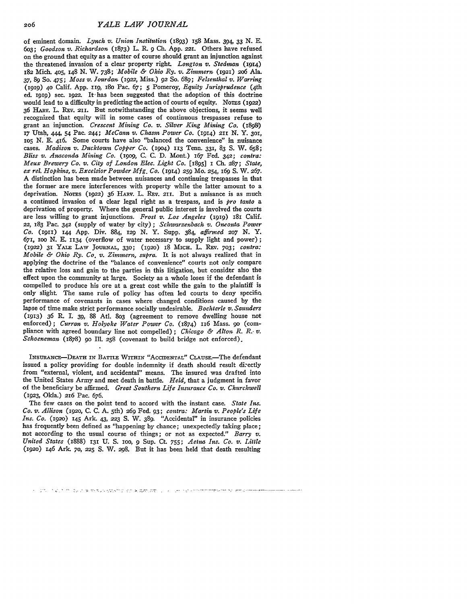of eminent domain. *Lynch v. Union Institution* (1893) i58 Mass. 394, **33** *N.* **E.** 6o3; *Goodson v. Richardson* (1873) L. R. 9 **Ch.** App. **221.** Others have refused on the ground that equity as a matter of course should grant an injunction against the threatened invasion of a clear property right. *Longton v. Stedman* **(1914) 182** Mich. 405, 148 N. W. 738; *'Mobile & Ohio Ry. v. Zimmern* **(1921)** 2o6 Ala. **37,** 89 So. 475; *Moss v. Jourdan* **(i922,** Miss.) 92 So. 689; *Felsenthal v. Warring* (1919) **40** Calif. App. iIq, i8o Pac. *67;* 5 Pomeroy, *Equity Jurisprudence* (4th ed. 1010) sec. 1022. It has been suggested that the adoption of this doctrine would lead to a difficulty in predicting the action of courts of equity. Nores  $(1922)$ 36 HARV. L. REV. 211. But notwithstanding the above objections, it seems well recognized that equity will in some cases of continuous trespasses refuse to grant an injunction. *Crescent Mining Co. v. Silver King Mining Co.* (i898) **17** Utah, 444, 54 Pac. **244;** *McCann v. Chasin Power Co.* (914) **211 N.** Y. **3oi, IO5 N.** E. 416. Some courts have also "balanced the convenience" in nuisance cases. *Madison v. Ducktown Copper Co.* **(i9o4) 113** Tenn. **331,** 83 **S.** W. **658;** *Bliss v. Anaconda Mining Co.* **(i9o9,** C. C. D. Mont.) 167 Fed. 342; *contra: Meux Brewery Co. v. City of London Elec. Light Co.* **[I895]** 1 **Ch. 287;** *State, ex rel. Hopkins, v. Excelsior Powder Mfg. Co.* (1914) **259** Mo. 254, **i69** S. W. 267. A distinction has been made between nuisances and continuing trespasses in that the former are mere interferences with property while the latter amount to a deprivation. Noms (1922) **36** HAav. L. REv. **21.** But a nuisance is as much a continued invasion of a clear legal right as a trespass, and is *pro tanto* a deprivation of property. Where the general public interest is involved the courts are less willing to grant injunctions. *Frost v. Los Angeles* **(I919)** 18i Calif. 22, 183 Pac. **342** (supply of water by city) **;** *Schwarrenbach, v. Oneonta Power Co.* (I9i) **144** App. Div. 884, **129** N. Y. Supp. 384, *affirmed 207* N. Y. 671, **ioo** N. E. **1134** (overflow of water necessary to supply light and power); *(IY-'2)* **31 YALE** LAW **JOUNAL, 330; (1920)** i8 MIcH. L. Rev. **703;** *contra: Mobile & Ohio Ry. Co. v. Zimmern, supra.* It is not always realized that in applying the doctrine of the "balance of convenience" courts not only compare the relative loss and gain to the parties in this litigation, but consider also the effect upon the community at large. Society as a whole loses if the defendant is compelled to produce his ore at a great cost while the gain to the plaintiff is only slight. The same rule of policy has often led courts to deny specific performance of covenants in cases where changed conditions caused by the lapse of time make strict performance socially undesirable. *Bochterle v. Saunders* (913) **36** R. L 39, 88 Atl. **803** (agreement to remove dwelling house not enforced); *Curran v. Holyoke Water Power Co.* (874) 1i6 Mass. **90** (compliance with agreed boundary line not compelled) ; *Chicago & Alton R.* R.- *v. Schoeneman* (1878) **90** Ill. 258 (covenant to build bridge not enforced).

INSURANcE-DEATH **IN BATTLE WITHIN** "AccIDENTAl." CLusE.-The defendant issued a policy providing for double indemnity if death should result di:ectly from "external, violent, and accidental" means. The insured was drafted into the United States Army and met death in battle. *Held,* that a judgment in favor of the beneficiary be affirmed. *Great Southern Life Insurance Co. v. Churchwell* **(1923,** Okla.) **216** Pac. 676.

The few cases on the point tend to accord with the instant case. *State Ins. Co. v. Allison* **(1920,** C. C. A. 5th) **269** Fed. 93; *contra: Martin v. People's Life Ins. Co.* (1920) 145 Ark. 43, 223 S. W. 389. "Accidental" in insurance policies has frequently been defined as "happening by chance; unexpectedly taking place; not according to the usual course of things; or not as expected." *Barry v. United States* (1888) **131** U. **S. 1oo,** 9 Sup. Ct. 755; *Aetna Ins. Co. v. Little* **(1920)** 146 Ark. **70, 225** S. W. 298. But it has been held that death resulting

<sup>.&</sup>lt;br>אחרים אותו מאות אותו אותו אותו אותו היו המשפט הקולי המשפט משפט המשפט להתמונות המוניקה משפט המוניק. מה מיוחד מו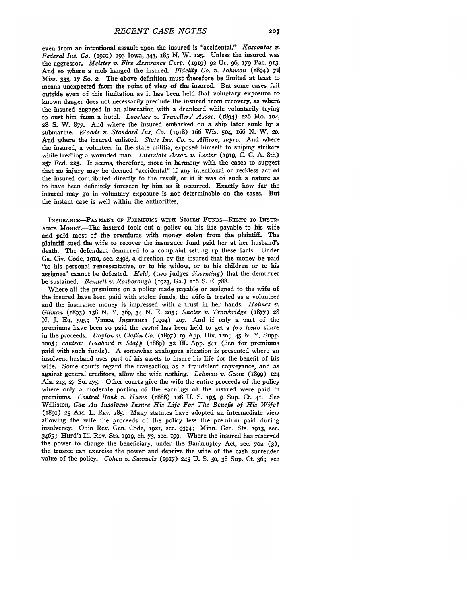even from an intentional assault upon the insured is "accidental." *Kascoutas v. Federal Ins. Co.* **(1921) 193** Iowa, 343, 185 N. W. 125. Unless the insured was the aggressor. *Meister v. Fire Assurance Corp. (igig)* **92** Or. *96, 179* Pac. **913.** And so where a mob hanged the insured. *Fidelity Co. v. Johnson* **(1894)** *<sup>721</sup>* Miss. **333,** 17 So. 2. The above definition must &ierefore be limited at least to means unexpected from the point of view of the insured. But some cases fall outside even of this limitation as it has been held that voluntary exposure to known danger does not necessarily preclude the insured from recovery, as where the insured engaged in an altercation with a drunkard while voluntarily trying to oust him from a hotel. *Lovelace v. Travellers' Assoc.* (1894) **126** Mo. 1O4, **28** *S.* W. **877.** And where the insured embarked on a ship later sunk by a submarine. *Woods v. Standard Ins. Co.* (igi8) 166 Wis. **504,** 166 **N.** W. **20.** And where the insured enlisted. *State Ins. Co. v. Allison, supra.* And where the insured, a volunteer in the state militia, exposed himself to sniping strikers while treating a wounded man. *Interstate Assoc. v. Lester* (I919, **C. C. A.** 8th) **257** Fed. **225.** It seems, therefore, more in harmony with the cases to suggest that no injury may be deemed "accidental" if any intentional or reckless act of the insured contributed directly to the result, or if it was of such a nature as to have been definitely foreseen by him as it occurred. Exactly how far the insured may go in voluntary exposure is not determinable on the cases. But the instant case is well within the authorities.

**INSURANCE-PAYMENT** OF **PREMFUMS** wrrH **STOLEN FUNDS-RIGHT TO** INSUR-**ANCE** MoNEY.-The insured took out a policy on his life payable to his wife and paid most of the premiums with money stolen from the plaintiff. The plaintiff sued the wife to recover the insurance fund paid her at her husband's death. The defendant demurred to a complaint setting up these facts. Under Ga. Civ. Code, I9IO, sec. **2498,** a direction by the insured that the money be paid "to his personal representative, or to his widow, or to his children or to his assignee" cannot be defeated. *Held,* (two judges *dissenting)* that the demurrer be sustained. *Bennett v. Rosborough* (1923, Ga.) 116 S. E. 788.

Where all the premiums on a policy made payable or assigned to the wife of the insured have been paid with stolen funds, the wife is treated as a volunteer and the insurance money is impressed with a trust in her hands. *Holmes v. Gilman* (1893) **138** *N.* **Y.** 369, 34 **N.** E. 205; *Shaler v. Trowbridge* (1877) 28 N. **J.** Eq. **595;** Vance, *Insurance* (19o4) 407. And if only a part of the premiums have been so paid the *cestui* has been held to get a *pro tanto* share in the proceeds. *Dayton v. Claflin Co.* (1897) ig App. Div. 120; 45 N. Y. Supp. *,oo5; contra: Hubbard v. Stapp* (1889) **32** Ill. App. 541 (lien for premiums paid with such funds). A somewhat analogous situation is presented where an insolvent husband uses part of his assets to insure his life for the benefit of his wife. Some courts regard the transaction as a fraudulent conveyance, and as against general creditors, allow the wife nothing. *Lehman v. Gunn* **(1899)** 124 Ala. **213, 27** So. 475. Other courts give the wife the entire proceeds of the policy where only a moderate portion of the earnings of the insured were paid in premiums. *Central Bank v. Hume* (1888) **128 U. S. 195, 9** Sup. Ct. **41.** See Williston, *Can An Insolvent Insure His Life For The Benefit of His Wife?* (1891) 25 AM. L. REV. 185. Many statutes have adopted an intermediate view allowing the wife the proceeds of the policy less the premium paid during insolvency. Ohio Rev. Gen. Code, **1921,** sec. 9394; Minn. Gen. Sts. 1913, sec. 3465; Hurd's Ill. Rev. Sts. 1gig, ch. 73, sec. 199. Where the insured has reserved the power to change the beneficiary, under the Bankruptcy Act, sec. 7oa (3), the trustee can exercise the power and deprive the wife of the cash surrender value of the policy. *Cohen v. Samuels* (1917) **245 U. S. 50, 38** Sup. Ct. **36;** see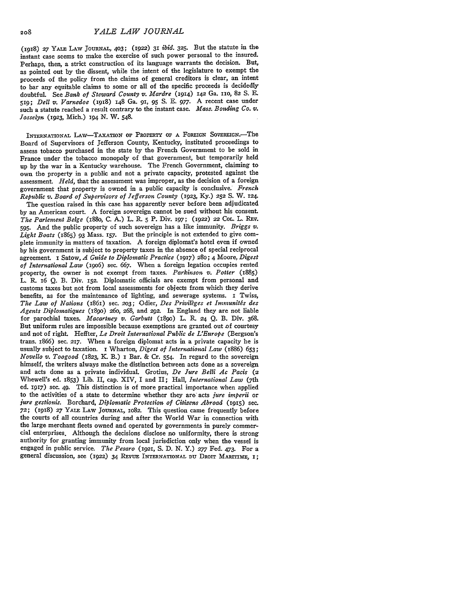(i918) **27 YALE** LAW **JOURNAL,** 403; (1922) 31 *ibid.* **325.** But the statute in the instant case seems to make the exercise **of** such power personal to the insured. Perhaps, then, a strict construction of its language warrants the decision. But, as pointed out by the dissent, while the intent of the legislature to exempt the proceeds of the policy from the claims of general creditors is clear, an intent to bar any equitable claims to some or all of the specific proceeds is decidedly doubtful. See *Bank of Steward County v. Mardre* (1914) **I42** Ga. 110, 82 **S. E.** 519; *Dell v. Varnedoe* (1918) 148 Ga. **91, 95 S. E. 977. A** recent case under such a statute reached a result contrary to the instant case. *Mass. Bonding Co. v. Josselyn* (1923, Mich.) **194** *N.* W. 548.

**INTERNATIONAL** LAw-TAXATION **OF PROPERTY** OF **A FOREIGN** SovEREIGN.-The Board of Supervisors of Jefferson County, Kentucky, instituted proceedings to assess tobacco purchased in the state by the French Government to be sold in France under the tobacco monopoly of that government, but temporarily held up **by** the war in a Kentucky warehouse. The French Government, claiming to own the property in a public and not a private capacity, protested against the assessment. *Held,* that the assessment was improper, as the decision of a foreign government that property is owned in a public capacity is conclusive.' *French Republic v. Board of Supervisors of Jefferson County* **(1923,** Ky.) **252 S.** W. 124.

The question raised in this case has apparently never before been adjudicated **by** an American court. A foreign sovereign cannot be sued without his consent. *The Parlement Belge* (i88o, **C. A.)** L. R. 5 P. Div. 197; (1922) 22 CoL. L. Rrv. **595.** And the public property of such sovereign has a like immunity. *Briggs v. Light Boats* (1865) 93 Mass. 157. But the principle is not extended to give complete immunity in matters of taxation. A foreign diplomat's hotel even if owned **by** his government is subject to property taxes in the absence of special reciprocal agreement. I Satow, *A Guide to Diplomatic Practice* (1917) 280; 4 Moore, Digest *of International Law* (19o6) sec. **667.** When a foreign legation occupies rented property, the owner is not exempt from taxes. *Parkinson v. Potter* (1885) L. R. 16 **Q.** B. Div. **152.** Diplomatic officials are exempt from personal and customs taxes but not from local assessments for objects from which they derive benefits, as for the maintenance of lighting, and sewerage systems. I Twiss, *The Law of Nations* (1861) sec. *203;* Odier, *Des Privileges et Immunitis des Agents Diplomatiques* (1890) **260,** 268, and 292. In England they are not liable for parochial taxes. *Macartney v. Garbutt* (i8go) L. R. **24 Q.** B. Div. 368. But uniform rules are impossible because exemptions are granted out of courtesy and not of right. Heffter, *Le Droit International Public de L'Europe* (Bergson's trans. 1866) sec. 217. When a foreign diplomat acts in a private capacity he is usually subject to taxation. I Wharton, *Digest of International Law* (1886) 653; *Novello v. Toogood* (1823, K. B.) I Bar. & Cr. 554. In regard to the sovereign himself, the writers always make the distinction between acts done as a sovereign and acts done as a private individual. Grotius, *De Jure Belli Ac Pacs (2* Whewell's ed. 1853) Lib. *II,* cap. XIV, I and II; Hall, *International Law* (7th ed. 1917) sec. 49. This distinction is of more practical importance when applied to the activities of a state to determine whether they are acts *jure imperii* or *jure gestionis.* Borchard, *Diplomatic Protection of Citizens Abroad* (1915) sec. 72; (1918) 27 YALE LAW JOURNAL, 1082. This question came frequently before the courts of all countries during and after the World War in connection with the large merchant fleets owned and operated by governments in purely commercial enterprises. Although the decisions disclose no uniformity, there is strong authority for granting immunity from local jurisdiction only when the vessel is engaged in public service. *The Pesaro* **(i921, S.** D. N. Y.) **277** Fed. 473. For a general discussion, see (1922) 34 REVUE INTERNATIONAL DU DROIT MARITIME, 1;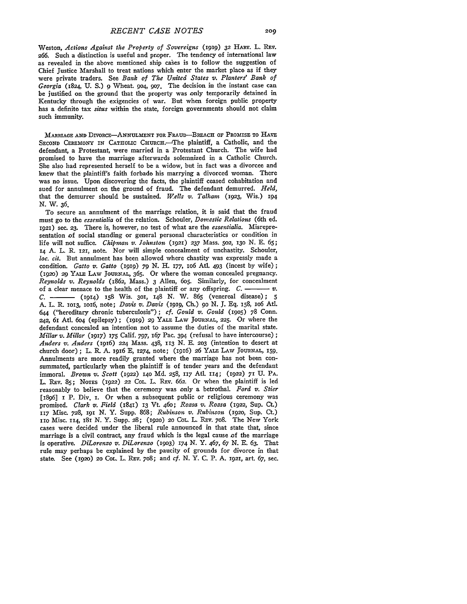Weston, *Actions Against the Property of Sovereigns* (1919) 32 HARV. L. REV. **266.** Such a distinction is useful and proper. The tendency of international law as revealed in the above mentioned ship cases is to follow the suggestion of Chief Justice Marshall to treat nations which enter the market place as if they were private traders. See *Bank of The United States v. Planters' Bank of Georgia* (1824, **U. S.) 9** Wheat. 94, *9o7.* The decision in the instant case can be justified on the ground that the property was only temporarily detained in Kentucky through the exigencies of war. But when foreign public property has a definite tax *situs* within the state, foreign governments should not claim such immunity.

MARRIAGE **AND** DIVORCE-ANNULMENT FOR FRAUD---BREACH OF **PROMISE** TO **HAVE** SECOND CEREMONY IN CATHOLIC CHURCH. The plaintiff, a Catholic, and the defendant, a Protestant, were married in a Protestant Church. The wife had promised to have the marriage afterwards solemnized in a Catholic Church. She also had represented herself to be a widow, but in fact was a divorcee and knew that the plaintiff's faith forbade his marrying a divorced woman. There was no issue. Upon discovering the facts, the plaintiff ceased cohabitation and sued for annulment on the ground of fraud. The defendant demurred. *Held,* that the demurrer should be sustained. *Wells v. Talham* (1923, Wis.) **194** *N.* W. **36.**

To secure an annulment of the marriage relation, it is said that the fraud must go to the *essentialia* of the relation. Schouler, *Domestic Relations* (6th ed. **1921)** sec. **23.** There is, however, no test of what are the *essentialia.* Misrepresentation of social standing or general personal characteristics or condition in life will not suffice. *Chlipman v. Johnston* **(1921) 237** Mass. 5o2, **13o N. E. 65;** 14 **A.** L. R. 121, note. Nor will simple concealment of unchastity. Schouler, *loc. cit.* But annulment has been allowed where chastity was expressly made a condition. *Gatto v. Gatto* (1919) *79* **N.** H. 177, **io6** AtI. 493 (incest **by** wife); (1920) 29 YALE LAW JOURNAL, **365.** Or where the woman concealed pregnancy. *Reynolds v. Reynolds* (1862, Mass.) 3 Allen, **6o5.** Similarly, for concealment of a clear menace to the health of the plaintiff or any offspring.  $C$ .  $\longrightarrow$   $v$ . *C.* (1914) 158 Wis. 3oi, 148 **N.** W. **865** (venereal disease); **5 A.** L. R. **1013,** l16, note; *Davis v. Davis* (1919, **Ch.)** 90 *N.* **J. Eq.** 158, **iO6 Atl.** 644 ("hereditary chronic tuberculosis"); *cf. Gould v. Gould* (9o5) **78** Conn. *242,* 61 AtI. **604** (epilepsy); (1919) **29** YALE **LAW JOURNAL, 225.** Or where the defendant concealed an intention not to assume the duties of the marital state. *Millar v. Millar* (1917) 175 Calif. 797, *167* Pac. 394 (refusal to have intercourse) **;** *Anders v. Anders* (1916) 224 Mass. 438, **113 N. E. 2o3** (intention to desert at church door); L. R **A.** 1916 E, 1274, note; (1916) 26 YALE LAw JOURNAL, **159.** Annulments are more readily granted where the marriage has not been consummated, particularly when the plaintiff is of tender years and the defendant immoral. *Brown v. Scott* (1922) 140 **Md. 258,** 117 Atl. 114; (1922) **71 U.** PA. L. REV. 85; NOTES (1922) 22 COL. L. REV. 662. Or when the plaintiff is led reasonably to believe that the ceremony was only a betrothal. *Ford v. Stier* [1896] **I** P. Div. I. Or when a subsequent public or religious ceremony was promised. *Clark v. Field* (1841) **13** Vt. 460; *Rozsa v. Rozsa* (1922, Sup. Ct.) **117** Misc. 728, **191 N.** Y. Supp. 868; *Rubinson v. Rubinson* (1920, **Sup.** Ct) 11O Misc. 114, 181 *N.* Y. Supp. **28;** (ig2o) *2o* COL. L. REv. 7o8. The New York cases were decided under the liberal rule announced in that state that, since marriage is a civil contract, any fraud which is the legal cause of the marriage is operative. *DiLorenzo v. DiLorenzo* **(19o3)** 174 *N.* Y. 467, *67* N. E. *63.* That rule may perhaps be explained by the paucity of grounds for divorce in that state. See (1920) **20** COL. L. REv. 7o8; and *cf.* N. Y. C. P. **A.** 1921, art. 67, sec.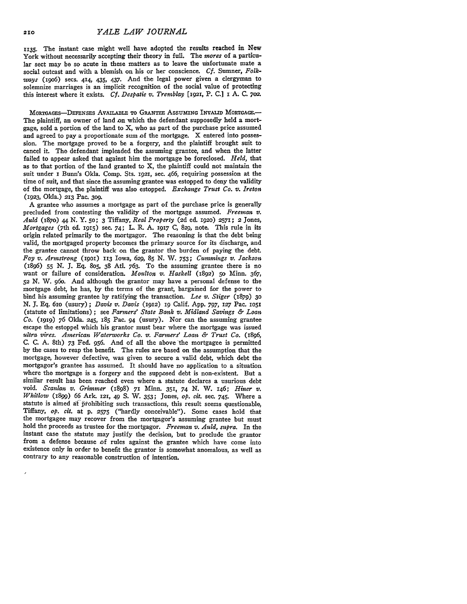1135. The instant case might well have adopted the results reached in New York without necessarily accepting their theory in full. The *mores* of a particular sect may **be** so acute in these matters as to leave the unfortunate mate a social outcast and with a blemish on his or her conscience. *Cf.* Sumner, *Folkways* (19o6) secs. 414, 435, 437. And the legal power given a clergyman to solemnize marriages is an implicit recognition of the social value of protecting this interest where it exists. *Cf. Despatie v. Tremblay* **[1921,** P. C.] i A. C. 702.

MORTGAGES-DEFENSES AVAILABLE TO GRANTEE ASSUMING INVALID MORTGAGE. The plaintiff, an owner of land on which the defendant supposedly held a mortgage, sold a portion of the land to X, who as part of the purchase price assumed and agreed to pay a proportionate sum of the mortgage. X entered into possession. The mortgage proved to be a forgery, and the plaintiff brought suit to cancel it. The defendant impleaded the assuming grantee, and when the latter failed to appear asked that against him the mortgage **be** foreclosed. *Held,* that as to that portion of the land granted to X, the plaintiff could not maintain the suit under 1 Bunn's Okla. Comp. Sts. 1921, sec. 466, requiring possession at the time of suit, and that since the assuming grantee was estopped to deny the validity of the mortgage, the plaintiff was also estopped. *Exchange Trust Co. v. Ireton* (x923, Okla.) **213** Pac. **3o9.**

**A** grantee who assumes a mortgage as part of the purchase price is generally precluded from contesting the validity of the mortgage assumed. *Freeman v. Auld* **(187o) 44** *N.* **Y. 50; 3** Tiffany, *Real Property* **(2d** ed. 1920) 2571; 2 Jones, *Mortgages* (7th **ed.** 1915) see. 74; L. **R. A.** 1917 **C, 829,** note. This rule in its origin related primarily to the mortgagor. The reasoning is that the debt being valid, the mortgaged property becomes the primary source for its discharge, and the grantee cannot throw back on the grantor the burden of paying the debt. *Foy v. Armstrong* (19Ol) **113** Iowa, *629,* **85 N.** W. **753;** *Cummings v. Jackson* (1896) *55* **N. J. Eq.** 8o5, 38 Atl. 763. To the assuming grantee there is no want or failure of consideration. *Moulton v. Haskell* (1892) **50** Minn. *367,* **52 N.** W. 96o. And although the grantor may have a personal defense to the mortgage debt, he has, by the terms of the grant, bargained for the power to bind his assuming grantee by ratifying the transaction. *Lee v. Stiger* (1879) **30** N. **J. Eq.** 61o (usury); *Davis v. Davis* (1912) ig Calif. **App.** 797, *127* Pac. **IO51** (statute of limitations) **;** see *Farmers' State Bank v. Midland Savings & Loan Co.* **(1919) 76** Okla. **245, 185** Pac. 94 (usury). Nor can the assuming grantee escape the estoppel which his grantor must bear where the mortgage was issued *ultra vires. American Waterworks Co. v. Farmers' Loan & Trust Co.* (1896, **C. C. A.** 8th) **73** Fed. **956.** And of all the above the mortgagee is permitted **by** the cases to reap the benefit. The rules are based on the assumption that the mortgage, however defective, was given to secure a valid debt, which debt the mortgagor's grantee has assumed. It should have no application to a situation where the mortgage is a forgery and the supposed debt is non-existent. But a similar result has been reached even where a statute declares a usurious debt void. *Scanlan v. Grimmer* (1898) **71** Minn. **351** 74 **N.** W. 146; *Hitter v,. Whitlow* (i899) 66 Ark. 121, 49 **S.** W. **353;** Jones, *op. cit.* sec. 745. Where a statute is aimed at prohibiting such transactions, this result seems questionable, Tiffany, *op. cit.* at **p. 2575** ("hardly conceivable"). Some cases hold that the mortgagee may recover from the mortgagor's assuming grantee but must hold the proceeds as trustee for the mortgagor. *Freeman v. Auld, supra.* In the instant case the statute may justify the decision, but to preclude the grantor from a defense because of rules against the grantee which have come into existence only in order to benefit the grantor is somewhat anomalous, as well as contrary to any reasonable construction of intention.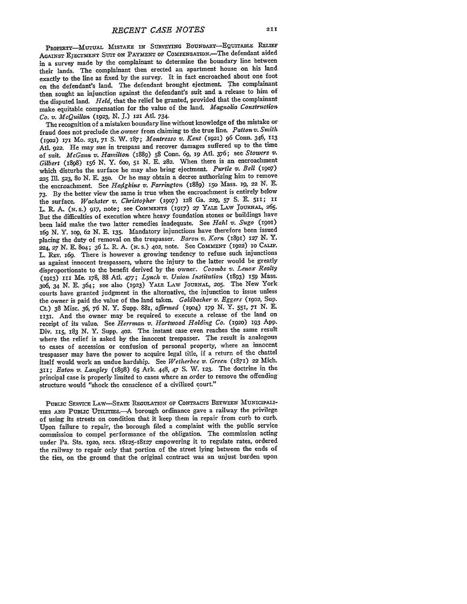PROPERTY-MUTUAL MISTAKE **IN** SURVEYING BOUNDARY-EQuITABLE **RELIEF AGAINST EJECTMENT SUIT ON** PAYMENT OF COmPENSATION-The defendant aided in a survey made by the complainant to determine the boundary line between their lands. The complainant then erected an apartment house on his land exactly to the line as fixed by the survey. It in fact encroached about one foot on the defendant's land. The defendant brought ejectment. The complainant then sought an injunction against the defendant's suit and a release to him of the disputed land. *Held,* that the relief be granted, provided that the complainant make equitable compensation for the value of the land. *Magnolia Construction Co. v. McQuillan* **(1923, N. J.) 121** Atl. 734.

The recognition of a mistaken boundary line without knowledge of the mistake or fraud does not preclude the owner from claiming to the true line. *Patton v. Snith* (19o2) 171 MO. **231,** 71 S. W. **187;** *Montresso v. Kent* (1921) **96** Conn. 346, 113 At1. 922. He may sue in trespass and recover damages suffered up to the time of suit. *McGann v. Hamilton* (1889) **58** Conn. **69, 19** At1. 376; see *Stowers v. Gilbert* (1898) 156 **N.** Y. **6o0, 51 N.** E. 282. When there is an encroachment which disturbs the surface he may also bring ejectment. *Purtle v. Bell (1907)* **<sup>225</sup>**Ill. **523,** 8o N. **E. 350.** Or he may obtain a decree authorizing him to remove the encroachment See *Hofdgkins v. Farrington* (1889) **15o** Mass. **19,** 22 *N.* **E. 73. By** the better view the same is true when the encroachment is entirely below the surface. *Wachster v. Christopher* **(19o7) 128** Ga. 229, 57 **S. E.** 511; **1I** L. R. **A. (N.** s.) 917, note; see **COMMENTS** (1917) **27** YALE LAw JOURNAL, 265. But the difficulties of execution where heavy foundation stones or buildings have been laid make the two latter remedies inadequate. See *Hahl v. Sugo* **(1901)** *i69 N.* Y. Iog, **62** *N.* **E. 135.** Mandatory injunctions have therefore been issued placing the duty of removal on the trespasser. *Baron v. Korn* **(1891)** 127 **N.** Y. **224, 27** *N.* **E.** 8o4; **36** L. R. **A. (N. S.)** 402, note. See **COMMENT** (1922) **10 CALIF.** L. REV. i69. There is however a growing tendency to refuse such injunctions as against innocent trespassers, where the injury to the latter would be greatly disproportionate to the benefit derived **by** the owner. *Coombs v. Lenox Realty* **(1913) III** Me. 178, 88 Atl. 477; *Lynch v. Union Institution* (1893) **159** Mass. 3o6, 34 *N.* E. 364; see also (1923) YALF LAw **JOURNAL, 205.** The New York courts have granted judgment in the alternative, the injunction to issue unless the owner is paid the value of the land taken. *Goldbacher v. Eggers* (1902, Sup. Ct.) 38 Misc. **36,** *76 N.* Y. Supp. 88i, *affirmed* (19o4) *179 N.* Y. **551,** 71 **N.** E. 1131. And the owner may be required to execute a release of the land on receipt of its value. See *Herrman v. Hartwood Holding Co.* (i92o) 193 App. Div. 115, 183 *N.* Y. Supp. **402.** The instant case even reaches the same result where the relief is asked by the innocent trespasser. The result is analogous to cases of accession or confusion of personal property, where an innocent trespasser may have the power to acquire legal title, if a return of the chattel itself would work an undue hardship. See *Wetherbee v. Green* **(1871)** 22 Mich. 311; *Eaton v. Langley* (1898) **65** Ark. 448, 47 **S.** W. 123. The doctrine in the principal case is properly limited to cases where an order to remove the offending structure would "shock the conscience of a civilized court."

PUBLIC SERVIcE LAW-STATE REGULATION OF CONTRACTS **BETWEEN MUNIcIPALI-**TIES **AND PUBLIC** UTILITIEs.-A borough ordinance gave a railway the privilege of using its streets on condition that it keep them in repair from curb to curb. Upon failure to repair, the borough filed a complaint with the public service commission to compel performance of the obligation. The commission acting under Pa. Sts. 1920, secs. 18125-18127 empowering it to regulate rates, ordered the railway to repair only that portion of the street lying between the ends of the ties, on the ground that the original contract was an unjust burden upon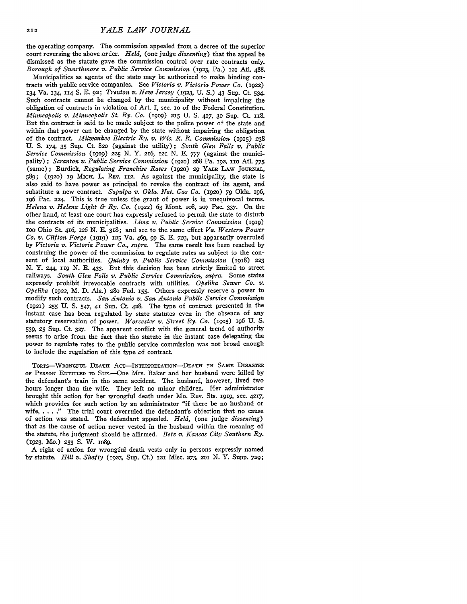the operating company. The commission appealed from a decree of the superior court reversing the above order. *Held,* (one judge *dissenting)* that the appeal be dismissed as the statute gave the commission control over rate contracts only. *Borough of Swarthmore v. Public Service Commission* (1923, Pa.) 121 Atl. **488.**

Municipalities as agents of the state may be authorized to make binding contracts with public service companies. See *Victoria v. Victoria Power Co.* (1922) 134 Va. 134, **114 S. E.** 92; *Trenton v. New Jersey* **(1923,** U. **S.)** 43 Sup. Ct 534. Such contracts cannot be changed **by** the municipality without impairing the obligation of contracts in violation of Art. I, sec. io of the Federal Constitution. *Minneapolis v. Minneapolis St. Ry. Co.* **(1909) 215 U. S.** 417, **30** Sup. Ct. **118.** But the contract is said to be made subject to the police power of the state and within that power can be changed **by** the state without impairing the obligation of the contract. *Milwaukee Electric Ry. v. Wis. R. R. Commission* (915) *238* U. **S.** 174, 35 Sup. Ct. **820** (against the utility); *South Glen Falls v. Public Service Commission* **(1919)** *225* N. Y. *216,* 121 **N.** E. 777 (against the municipality) ; *Scranton v. Public Service Commission* (1920) 268 Pa. 192, **11O** At. *775* (same); Burdick, *Regulating Franchise Rates* **(192o)** 29 YALE **LAW JOURNiAL,** 589; (1920) 19 MICH. L. REV. 112. As against the municipality, the state is also said to have power as principal to revoke the contract of its agent, and substitute a new contract. *Sapulpa v. Okla. Nat. Gas Co.* (1920) 79 Okla. 196, 196 Pac. 224. This is true unless the grant of power is in unequivocal terms. *Helena v. Helena Light & Ry. Co.* (1922) 63 Mont. io8, *2o7* Pac. 337. On the other hand, at least one court has expressly refused to permit the state to disturb the contracts of its municipalities. *Lima v. Public Service Commission (igig)* ioo Ohio St. 416, *126* N. **E.** 318; and see to the same effect *Va. Western Power Co. v. Clifton Forge (igig)* 125 Va. 469, 99 **S.** E. **723,** but apparently overruled by *Victoria v. Victoria Power Co., supra.* The same result has been reached by construing the power of the commission to regulate rates as subject to the consent of local authorities. *Quinby v. Public Service Commission* (1918) **223** N. Y. 244, **119** N. E. 433. But this decision has been strictly limited to street railways. *South Glen Falls v. Public Service Commission, supra.* Some states expressly prohibit irrevocable contracts with utilities. *Opelika Sewer Co. v. Opelika* (1922, M. D. Ala.) 280 Fed. **155.** Others expressly reserve a power to modify such contracts. *San Antonio v. San Antonio Public Service Commission* (1921) **255 U. S.** 547, 41 Sup. Ct. 428. The type of contract presented in the instant case has been regulated by state statutes even in the absence of any statutory reservation of power. *Worcester v. Street Ry. Co.* **(1905)** 196 **U.** S. 539, **25** Sup. Ct **327.** The apparent conflict with the general trend of authority seems to arise from the fact that the statute in the instant case delegating the power to regulate rates to the public service commission was not broad enough to include the regulation of this type of contract.

**TORTS-WRONGFUL DEATH ACT-INTERPRETATION-DEATH IN SAME DIsAsTER OF** PERSON **ENTITLED** TO SUE.-One Mrs. Baker and her husband were killed by the defendant's train in the same accident. The husband, however, lived two hours longer than the wife. They left no minor children. Her administrator brought this action for her wrongful death under Mo. Rev. Sts. igig, sec. 4217, which provides for such action by an administrator "if there be no husband or wife, **.... "** The trial court overruled the defendant's objection that no cause of action was stated. The defendant appealed. *Held,* (one judge *dissenting)* that as the cause of action never vested in the husband within the meaning of the statute, the judgment should be affirmed. *Betz v. Kansas City Southern Ry.* (1923, Mo.) 253 S. W. 1089.

A right of action for wrongful death vests only in persons expressly named by statute. *Hill v. Shafty* (1923, Sup. Ct) 121 Misc. **273, 2O** N. Y. Supp. **729;**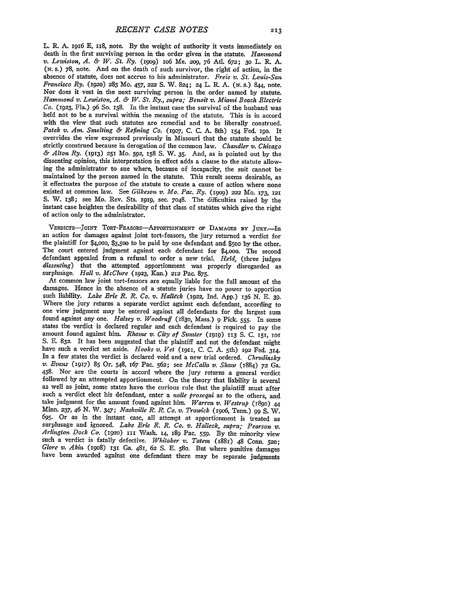L. R. A. 1916 E, 118, note. By the weight of authority it vests immediately on death in the first surviving person in the order given in the statute. *Hammond* v. Lewiston, A. & W. St. Ry. (1909) 106 Me. 209, 76 Atl. 672; *(N.* s.) 78, note. And on the death of such survivor, the right of action, in the absence of statute, does not accrue to his administrator. *Freie v. St. Louis-San Francisco Ry.* (192o) 283 Mo. 457, *222* **S.** W. 824; 24 L. R. **A.** *(N.* s.) 844, note. Nor does it vest in the next surviving person in the order named by statute. *Hammond v. Lewiston, A. & W. St. Ry., supra; Benoit v. Miami Beach Electric Co.* (1923, Fla.) **96** So. 158. In the instant case the survival of the husband was held not to be a survival within the meaning of the statute. This is in accord with the view that such statutes are remedial and to be liberally construed. *Patek v. Am. Smelting & Refining Co.* (19o7, C. C. A. 8th) 154 Fed. 19o. It overrides the view expressed previously in Missouri that the statute should be strictly construed because in derogation of the common law. *Chandler v. Chicago & Alton Ry.* (1913) **251** Mo. **592,** 158 S. W. **35.** And, as is pointed out **by** the dissenting opinion, this interpretation in effect adds a clause to the statute allowing the administrator to sue where, because of incapacity, the suit cannot be it effectuates the purpose of the statute to create a cause of action where none existed at common law. See Gilkeson v. Mo. Pac. Ry. (1909) 222 Mo. 173, 121 S. W. 138; see Mo. Rev. Sts. **i919,** sec. 7048. The difficulties raised by the instant case heighten the desirability of that class of statutes which give the right of action only to the administrator.

VERDICTS-JOINT TORT-FEASORS-APPORTIONMENT OF DAMAGES BY JURY.--In an action for damages against joint tort-feasors, the jury returned a verdict for the plaintiff for \$4,ooo, \$3,500 to be paid by one defendant and \$5oo by the other. The court entered judgment against each defendant for **\$4,000.** The second defendant appealed from a refusal to order a new trial. *Held,* (three judges *dissenting)* that the attempted apportionment was properly disregarded as surplusage. *Hall v. McClure* (1923, Kan.) 212 Pac. 875.

At common law joint tort-feasors are equally liable for the full amount of the damages. Hence in the absence of a statute juries have no power to apportion such liability. *Lake Erie R. R. Co. v. Halleck* (1922, Ind. App.) 136 *N.* E. 39. Where the jury returns a separate verdict against each defendant, according to one view judgment may be entered against all defendants for the largest sum found against any one. *Halsey v. Woodruff* (1830, Mass.) 9 Pick. amount found against him. *Rhame v. City of Sumter (igig)* **113 S. C. I51, 101** S. **E.** 832. It has been suggested that the plaintiff and not the defendant might have such a verdict set aside. *Hooks v. Vet* (I911, C. C. A. 5th) 192 Fed. 314. In a few states the verdict is declared void and a new trial ordered. *Chrudinsky v. Evans* **(917) 85** Or. 548, 167 Pac. 562; see *McCalla v. Shaw* (1884) **72** Ga. 458. Nor are the courts in accord where the jury returns a general verdict followed **by** an attempted apportionment. On the theory that liability is several as well as joint, some states have the curious rule that the plaintiff must after such a verdict elect his defendant, enter a *nolle prosequi* as to the others, and take judgment for the amount found against him. *Warren v. Westrup (i8go)* 44 Minn. **237,** 46 N. W. 347; *Nashville R.* R. *Co. v. Trawick (i9o6,* Tenn.) **99** S. W. 695. Or as in the instant case, all attempt at apportionment is treated as surplusage and ignored. Lake Erie R. R. Co. v. Halleck, supra; Pearson v. Arlington Dock Co. (1920) 111 Wash. 14, 189 Pac. 559. By the minority vie such a verdict is fatally defective. *Whitaker v. Tatem* (1881) 48 Conn. **520;** *Glore v. Akin* (19o8) *IXi* Ga. 481, 62 **S.** E. 58o. But where punitive damages have been awarded against one defendant there may be separate judgments